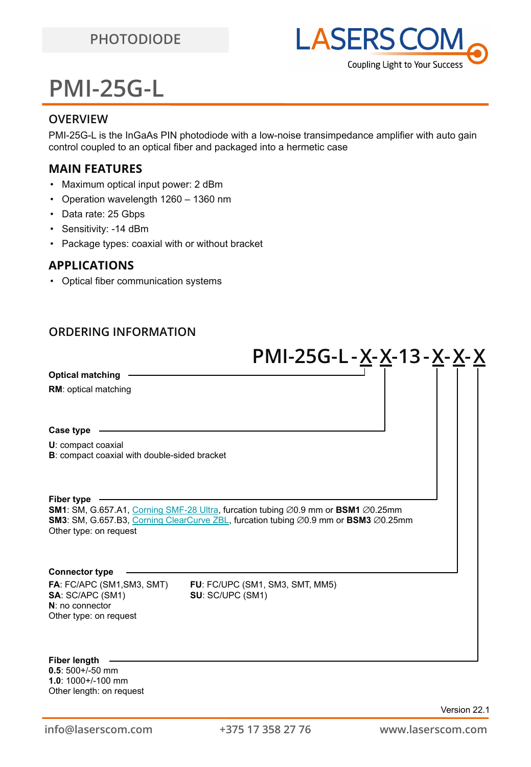

# **PMI-25G-L**

### **OVERVIEW**

PMI-25G-L is the InGaAs PIN photodiode with a low-noise transimpedance amplifier with auto gain control coupled to an optical fiber and packaged into a hermetic case

### **MAIN FEATURES**

- Maximum optical input power: 2 dBm
- Operation wavelength 1260 1360 nm
- Data rate: 25 Gbps
- Sensitivity: -14 dBm
- Package types: coaxial with or without bracket

### **APPLICATIONS**

• Optical fiber communication systems

### **ORDERING INFORMATION**

|                                                                                               | PMI-25G-L-X-X-13-X-X-X                                                                                                                                                                             |  |
|-----------------------------------------------------------------------------------------------|----------------------------------------------------------------------------------------------------------------------------------------------------------------------------------------------------|--|
| <b>Optical matching</b>                                                                       |                                                                                                                                                                                                    |  |
| <b>RM:</b> optical matching                                                                   |                                                                                                                                                                                                    |  |
| Case type                                                                                     |                                                                                                                                                                                                    |  |
| U: compact coaxial<br><b>B</b> : compact coaxial with double-sided bracket                    |                                                                                                                                                                                                    |  |
| <b>Fiber type</b><br>Other type: on request                                                   | SM1: SM, G.657.A1, Corning SMF-28 Ultra, furcation tubing Ø0.9 mm or BSM1 Ø0.25mm<br>SM3: SM, G.657.B3, Corning ClearCurve ZBL, furcation tubing $\varnothing$ 0.9 mm or BSM3 $\varnothing$ 0.25mm |  |
| <b>Connector type</b>                                                                         |                                                                                                                                                                                                    |  |
| FA: FC/APC (SM1, SM3, SMT)<br>SA: SC/APC (SM1)<br>$N:$ no connector<br>Other type: on request | FU: FC/UPC (SM1, SM3, SMT, MM5)<br>SU: SC/UPC (SM1)                                                                                                                                                |  |
| Fiher lenath.                                                                                 |                                                                                                                                                                                                    |  |

**0.5**: 500+/-50 mm **1.0**: 1000+/-100 mm Other length: on request **Fiber length**

Version 22.1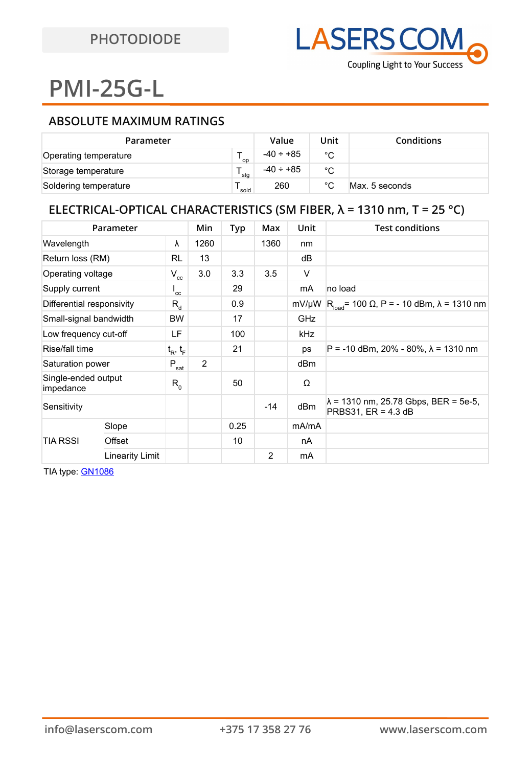# **PMI-25G-L**

### **ABSOLUTE MAXIMUM RATINGS**

| Parameter             |      | Value          | Unit         | <b>Conditions</b> |
|-----------------------|------|----------------|--------------|-------------------|
| Operating temperature | op ` | $-40 \div +85$ | °C           |                   |
| Storage temperature   | 'stg | $-40 \div +85$ | °C           |                   |
| Soldering temperature | sold | 260            | $^{\circ}$ C | Max. 5 seconds    |

## **ELECTRICAL-OPTICAL CHARACTERISTICS (SM FIBER, λ = 1310 nm, T = 25 °C)**

| Parameter                        |                        | Min                | <b>Typ</b>     | Max  | Unit  | <b>Test conditions</b> |                                                                       |
|----------------------------------|------------------------|--------------------|----------------|------|-------|------------------------|-----------------------------------------------------------------------|
| Wavelength                       |                        | λ                  | 1260           |      | 1360  | nm                     |                                                                       |
| Return loss (RM)                 |                        | RL                 | 13             |      |       | dB                     |                                                                       |
| Operating voltage                |                        | $V_{cc}$           | 3.0            | 3.3  | 3.5   | V                      |                                                                       |
| Supply current                   |                        | $^{\mathsf{I}}$ cc |                | 29   |       | mA                     | no load                                                               |
| Differential responsivity        |                        | $R_{d}$            |                | 0.9  |       | mV/µW                  | $R_{load}$ = 100 Ω, P = - 10 dBm, λ = 1310 nm                         |
| Small-signal bandwidth           |                        | <b>BW</b>          |                | 17   |       | GHz                    |                                                                       |
| Low frequency cut-off            |                        | LF                 |                | 100  |       | kHz                    |                                                                       |
| Rise/fall time                   |                        | $t_R$ , $t_F$      |                | 21   |       | ps                     | $P = -10$ dBm, 20% - 80%, $\lambda = 1310$ nm                         |
| Saturation power                 |                        | $+P_{sat}$         | $\overline{2}$ |      |       | dBm                    |                                                                       |
| Single-ended output<br>impedance |                        | $R_{0}$            |                | 50   |       | Ω                      |                                                                       |
| Sensitivity                      |                        |                    |                |      | $-14$ | dBm                    | $\lambda$ = 1310 nm, 25.78 Gbps, BER = 5e-5,<br>PRBS31, $ER = 4.3 dB$ |
| TIA RSSI                         | Slope                  |                    |                | 0.25 |       | mA/mA                  |                                                                       |
|                                  | Offset                 |                    |                | 10   |       | nA                     |                                                                       |
|                                  | <b>Linearity Limit</b> |                    |                |      | 2     | mA                     |                                                                       |

TIA type: [GN1086](https://drive.google.com/file/d/11cKj9KVr23NNgCnHeCPjcNjdwdqESW1k/view?usp=sharing)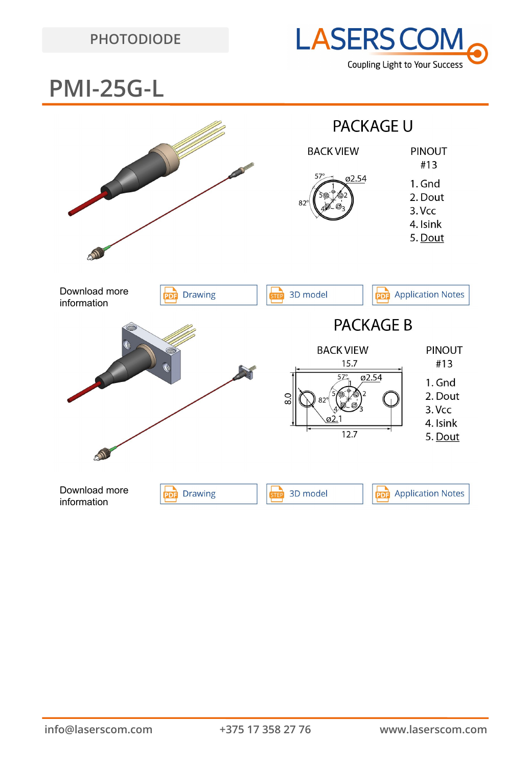## **PHOTODIODE**



## **PMI-25G-L**